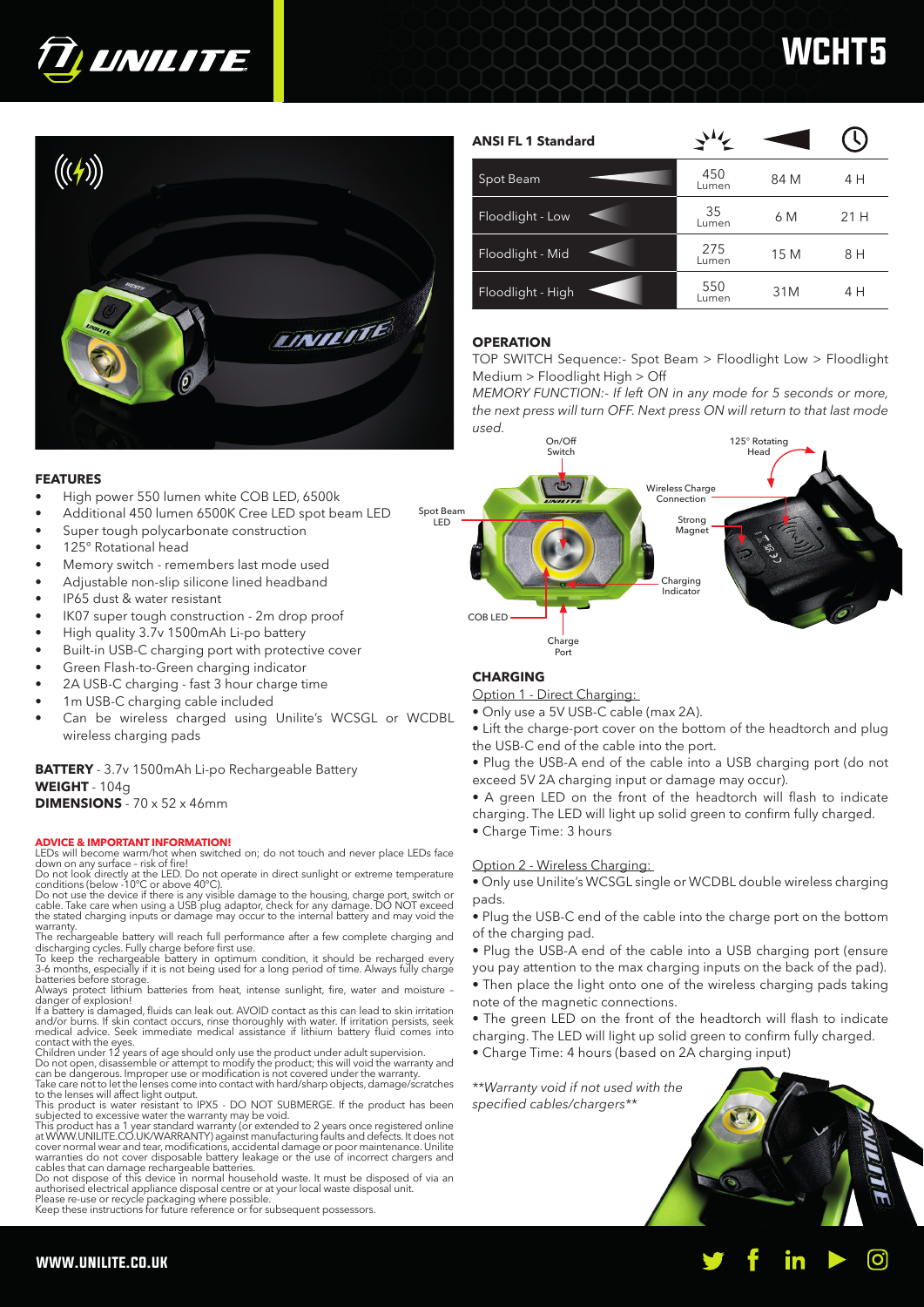

# **WCHT**



| <b>ANSI FL 1 Standard</b> |              |      |      |
|---------------------------|--------------|------|------|
| Spot Beam                 | 450<br>Lumen | 84 M | 4 H  |
| Floodlight - Low          | 35<br>Lumen  | 6 M  | 21 H |
| Floodlight - Mid          | 275<br>Lumen | 15 M | 8 H  |
| Floodlight - High         | 550<br>Lumen | 31M  | 4 H  |

# **OPERATION**

TOP SWITCH Sequence:- Spot Beam > Floodlight Low > Floodlight Medium > Floodlight High > Off

*MEMORY FUNCTION:- If left ON in any mode for 5 seconds or more, the next press will turn OFF. Next press ON will return to that last mode used.* 



# **CHARGING**

Option 1 - Direct Charging:

- Only use a 5V USB-C cable (max 2A).
- Lift the charge-port cover on the bottom of the headtorch and plug the USB-C end of the cable into the port.

• Plug the USB-A end of the cable into a USB charging port (do not exceed 5V 2A charging input or damage may occur).

- A green LED on the front of the headtorch will flash to indicate
- charging. The LED will light up solid green to confirm fully charged.
- Charge Time: 3 hours

## Option 2 - Wireless Charging:

• Only use Unilite's WCSGL single or WCDBL double wireless charging pads.

• Plug the USB-C end of the cable into the charge port on the bottom of the charging pad.

• Plug the USB-A end of the cable into a USB charging port (ensure you pay attention to the max charging inputs on the back of the pad).

• Then place the light onto one of the wireless charging pads taking

• The green LED on the front of the headtorch will flash to indicate charging. The LED will light up solid green to confirm fully charged.

• Charge Time: 4 hours (based on 2A charging input)

*\*\*Warranty void if not used with the specified cables/chargers\*\**



# **FEATURES**

- High power 550 lumen white COB LED, 6500k
- Additional 450 lumen 6500K Cree LED spot beam LED
- Super tough polycarbonate construction
- 125° Rotational head
- Memory switch remembers last mode used
- Adjustable non-slip silicone lined headband
- IP65 dust & water resistant
- IK07 super tough construction 2m drop proof
- High quality 3.7v 1500mAh Li-po battery
- Built-in USB-C charging port with protective cover
- Green Flash-to-Green charging indicator
- 2A USB-C charging fast 3 hour charge time
- 1m USB-C charging cable included
- Can be wireless charged using Unilite's WCSGL or WCDBL wireless charging pads

**BATTERY** - 3.7v 1500mAh Li-po Rechargeable Battery **WEIGHT** - 104g **DIMENSIONS** - 70 x 52 x 46mm

### **ADVICE & IMPORTANT INFORMATION!**

LEDs will become warm/hot when switched on; do not touch and never place LEDs face

down on any surface – risk of fire! Do not look directly at the LED. Do not operate in direct sunlight or extreme temperature conditions (below -10°C or above 40°C).

Do not use the device if there is any visible damage to the housing, charge port, switch or<br>cable. Take care when using a USB plug adaptor, check for any damage. DO NOT exceed<br>the stated charging inputs or damage may occur

warranty.<br>The rechargeable battery will reach full performance after a few complete charging and<br>discharging cycles. Fully charge before first use.<br>To keep the rechargeable battery in optimum condition, it should be rechar

Always protect lithium batteries from heat, intense sunlight, fire, water and moisture -<br>danger of explosion!

If a battery is damaged, fluids can leak out. AVOID contact as this can lead to skin irritation and/or burns. If skin contact occurs, rinse thoroughly with water. If irritation persists, seek medical advice. Seek immediate medical assistance if lithium battery fluid comes into

contact with the eyes.<br>Children under 12 years of age should only use the product under adult supervision.<br>Do not open, disassemble or attempt to modify the product; this will void the warranty and

can be dangerous. Improper use or modification is not covered under the warranty. Take care not to let the lenses come into contact with hard/sharp objects, damage/scratches

to the lenses will affect light output.<br>This product is water resistant to IPX5 - DO NOT SUBMERGE. If the product has been<br>subjected to excessive water the warranty may be void.

This product has a 1 year standard warranty (or extended to 2 years once registered online at WWW.UNILITE.CO.UK/WARRANTY) against manufacturing faults and defects. It does not cover normal wear and tear, modifications, accidental damage or poor maintenance. Unilite<br>warranties do not cover disposable battery leakage or the use of incorrect chargers and<br>cables that can damage rechargeable batterie

Do not dispose of this device in normal household waste. It must be disposed of via an<br>authorised electrical appliance disposal centre or at your local waste disposal unit.<br>Please re-use or recycle packaging where possible

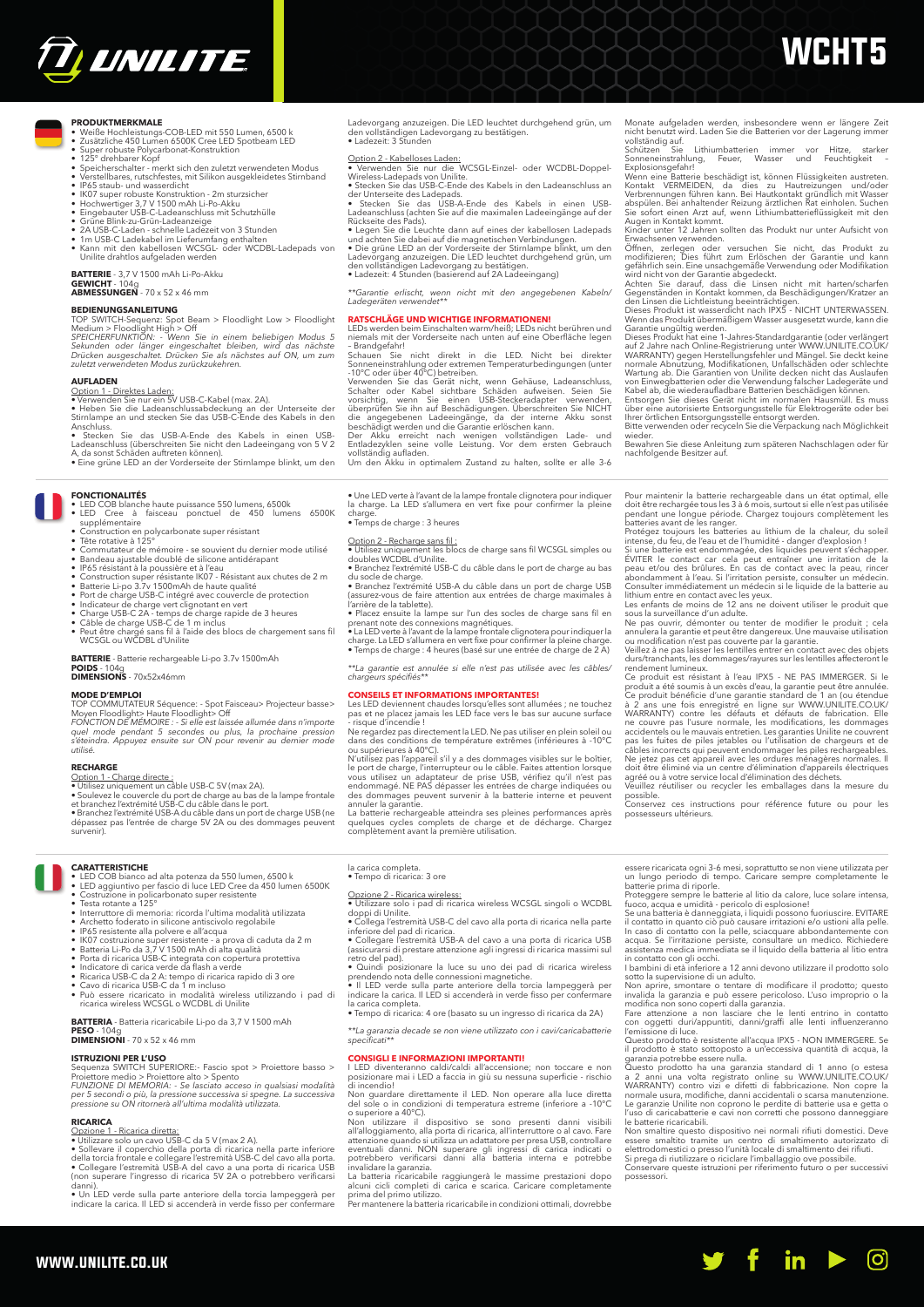

# **WCHT5**

Monate aufgeladen werden, insbesondere wenn er längere Zeit nicht benutzt wird. Laden Sie die Batterien vor der Lagerung immer vollständig auf. Schützen Sie Lithiumbatterien immer vor Hitze, starker Sonneneinstrahlung, Feuer, Wasser und Feuchtigkeit –

Wenn eine Batterie beschädigt ist, können Flüssigkeiten austreten.<br>Kontakt VERMEIDEN, da dies zu Hautreizungen und/oder<br>Verbrennungen führen kann. Bei Hautkontakt gründlich mit Wasser<br>abspülen. Bei anhaltender Reizung ärzt

wird nicht von der Garantie abgedeckt. Achten Sie darauf, dass die Linsen nicht mit harten/scharfen Gegenständen in Kontakt kommen, da Beschädigungen/Kratzer an den Linsen die Lichtleistung beeinträchtigen. Dieses Produkt ist wasserdicht nach IPX5 - NICHT UNTERWASSEN. Wenn das Produkt übermäßigem Wasser ausgesetzt wurde, kann die Garantie ungültig werden.<br>
Dieses Produkt hat eine 1-Jahres-Standardgarantie (oder verlängert

Dieses Produkt hat eine 1-Jahres-Standardgarantie (oder verlängert<br>auf 2 Jahre nach Online-Registrierung unter WWW.UNILITE.CO.UK/<br>WARRANTY) gegen Herstellungsfehler und Mängel. Sie deckt keine<br>normale Abnutzung, Modifikati

Bewahren Sie diese Anleitung zum späteren Nachschlagen oder für nachfolgende Besitzer auf.

Pour maintenir la baterie rechargeable dans un état optimal, elle<br>doit être rechargée tous les 3 à 6 mois, surtout si elle n'est pas utilisée<br>pendant une longue période. Chargez toujours complètement les<br>batteries avant de

ÉVITER le contact car cela peut entraîner une irritation de la peau et/ou des brûlures. En cas de contact avec la peau, rincer abondamment à l'eau. Si l'irritation persiste, consulter un médecin. Consulter immédiatement un médecin si le liquide de la batterie au

lithium entre en contact avec les yeux.<br>Les enfants de moins de 12 ans ne doivent utiliser le produit que<br>sous la surveillance d'un adulte.<br>Ne pas ouvrir, démonter ou tenter de modifier le produit ; cela<br>annulera la garant

durs/tranchants, les dommages/rayures sur les lentilles affecteront le

rendement lumineux.<br>
Ce produit est résistant à l'eau IPX5 - NE PAS IMMERGER. Si le<br>
Ce produit a été soumis à un excès d'eau, la garantie peut être annulée.<br>
Ce produit bénéficie d'une garantie standard de 1 an (ou étendu

doit être éliminé via un centre d'élimination d'appareils électriques agréé ou à votre service local d'élimination des déchets. Veuillez réutiliser ou recycler les emballages dans la mesure du possible. Conservez ces instructions pour référence future ou pour les

possesseurs ultérieur

possessori.

Explosionsgefahr!

- **RODUKTMERKMALE**<br>• Weiße Hochleistungs-COB-LED mit 550 Lumen, 6500 k<br>• Zusätzliche 450 Lumen 6500K Cree LED Spotbeam LED<br>• Super robuste Polycarbonat-Konstruktion
- 
- 125° drehbarer Kopf Speicherschalter merkt sich den zuletzt verwendeten Modus Verstellbares, rutschfestes, mit Silikon ausgekleidetes Stirnband
- 
- 
- 
- 
- 
- 
- IP65 staub- und wasserdicht<br>• IR67 super robuste Konstruktion 2m sturzsicher<br>• Hochwertiger 3,7 V 1500 mAh Li-Po-Akku<br>• Gringebauter USB-C-Ladeanzeige<br>• Grüne Blink-zu-Grün-Ladeanzeige<br>• 2A USB-C-Laden- schnelle Ladeze

**BATTERIE** - 3,7 V 1500 mAh Li-Po-Akku

**GEWICHT** - 104g **ABMESSUNGEN** - 70 x 52 x 46 mm

## **BEDIENUNGSANLEITUNG**

### TOP SWITCH-Sequenz: Spot Beam > Floodlight Low > Floodlight

Medium > Floodlight High > Off *SPEICHERFUNKTION: - Wenn Sie in einem beliebigen Modus 5 Sekunden oder länger eingeschaltet bleiben, wird das nächste Drücken ausgeschaltet. Drücken Sie als nächstes auf ON, um zum zuletzt verwendeten Modus zurückzukehren.*

AUFLADEN<br>
Option 1 - Direktes Laden:<br>• Verwenden Sie nur ein 5V USB-C-Kabel (max. 2A).<br>• Verwenden Sie ie Ladeanschlussabdeckung an der Unterseite der<br>Stimlampe an und stecken Sie das USB-C-Ende des Kabels in den<br>Anschluss

**FONCTIONALITÉS** • LED COB blanche haute puissance 550 lumens, 6500k • LED Cree à faisceau ponctuel de 450 lumens 6500K supplémentaire

- 
- 
- Construction en polycarbonate super résistant<br>• Tête rotative à 125°<br>• Commutateur de mémoire se souvient du dernier mode utilisé
- Bandeau ajustable doublé de silicone antidérapant<br>IP65 résistant à la poussière et à l'eau
- 
- 
- 
- 
- 
- IP65 résistant à la poussière et à l'eau<br>
 Construction super résistante IKO7 Résistant aux chutes de 2 m<br>
 Batterie Li-po 3.7.y 1500mAh de haute qualité<br>
 Bott de charge USB-C intégré avec couvercle de protection<br>

**BATTERIE** - Batterie rechargeable Li-po 3.7v 1500mAh

**POIDS** - 104g **DIMENSIONS** - 70x52x46mm

**MODE D'EMPLOI**<br>TOP COMMUTATEUR Séquence: - Spot Faisceau> Projecteur basse><br>Moyen Floodlight> Haute Floodlight> Off<br>FONCTION DE MÉMOIRE : - Si elle est laissée allumée dans n'importe<br>quel mode pendant 5 secondes ou plus, *utilisé.*

**RECHARGE**<br> **Option 1 - Charge directe :**<br>
• Utilisez uniquement un câble USB-C 5V (max 2A).<br>• Soulevez le couvercle du port de charge au bas de la lampe frontale<br>
• Soulevez le couvercle du port de charge au bas de la lam

### **CARATTERISTICHE**

• LED COB bianco ad alta potenza da 550 lumen, 6500 k

### • LED aggiuntivo per fascio di luce LED Cree da 450 lumen 6500K • Costruzione in policarbonato super resistente • Testa rotante a 125°

- 
- 
- 
- 
- Internuttore di memoria: ricorda l'ultima modalità utilizzata<br>• Archetto foderato in silicone antiscivolo regolabile<br>• IP65 resistente alla polvere e all'acqua<br>• IS07 costruzione super resistente a prova di caduta da 2
- 
- 
- 
- 
- ricarica wireless WCSGL o WCDBL di Unilite

**BATTERIA** - Batteria ricaricabile Li-po da 3,7 V 1500 mAh **PESO** - 104g **DIMENSIONI** - 70 x 52 x 46 mm

**ISTRUZIONI PER L'USO**<br>Sequenza SWITCH SUPERIORE:- Fascio spot > Proiettore basso ><br>Proiettore medio > Proiettore alto > Spento<br>FUNZIONE DI MEMORIA: - Se lasciato acceso in qualsiasi modalità *per 5 secondi o più, la pressione successiva si spegne. La successiva pressione su ON ritornerà all'ultima modalità utilizzata.*

www.unilite.co.uk

- 
- 
- **RICARICA**<br> **Charles Contract Contract Contract Contract Contract Contract Contract Contract Contract Contract Contract Contract Contract Contract Contract Contract Contract Contract Contract Contract Contract Contract Con**
- Un LED verde sulla parte anteriore della torcia lampeggerà per indicare la carica. Il LED si accenderà in verde fisso per confermare

Ladevorgang anzuzeigen. Die LED leuchtet durchgehend grün, um den vollständigen Ladevorgang zu bestätigen. • Ladezeit: 3 Stunden

- <u>Option 2 Kabelloses Laden:</u><br>● Verwenden Sie nur die WCSGL-Einzel- oder WCDBL-Doppel-<br>Wireless-Ladepads von Unilite.
- 
- Stecken Sie das USB-C-Ende des Kabels in den Ladeanschluss an der Unterseite des Ladepads. Stecken Sie das USB-A-Ende des Kabels in einen USB-
- 
- 
- Ladeanschluss (achten Sie auf die maximalen Ladeeingänge auf der<br>Rückseite des Pals).<br>• Legen Sie die Leuchte dann auf eines der kabellosen Ladepads<br>• Legen Sie die Leuchte dann auf eines der kabellosen Ladepads<br>• Die grün
- *\*\*Garantie erlischt, wenn nicht mit den angegebenen Kabeln/ Ladegeräten verwendet\*\**

# **RATSCHLÄGE UND WICHTIGE INFORMATIONEN!** LEDs werden beim Einschalten warm/heiß; LEDs nicht berühren und niemals mit der Vorderseite nach unten auf eine Oberfläche legen

-Brandgefahr!<br>Schauen Sie nicht direkt in die LED. Nicht bei direkter<br>Schauen Sie nicht direkt in die LED. Nicht bei direkter<br>Sonneneinstrahlung oder extremen Temperaturbedingungen (unter<br>Verwenden Sie das Gerät nicht, wen

• Une LED verte à l'avant de la lampe frontale clignotera pour indiquer la charge. La LED s'allumera en vert fixe pour confirmer la pleine charge. • Temps de charge : 3 heures

la carica completa. • Tempo di ricarica: 3 ore

la carica completa.

- Option 2 Recharge sans fil :<br>● Utilisez uniquement les blocs de charge sans fil WCSGL simples ou<br>doubles WCDBL d'Unilite.
- Branchez l'extrémité USB-C du câble dans le port de charge au bas

du socle de charge. • Branchez l'extrémité USB-A du câble dans un port de charge USB (assurez-vous de faire attention aux entrées de charge maximales à

- 
- l'arrière de la tablette).<br>• Placez ensuite la lampe sur l'un des socles de charge sans fil en<br>prenant note des connexions magnétiques.<br>• La LED verte à l'avant de la lampe frontale clignotera pour indiquer la<br>charge. La L
- 

*\*\*La garantie est annulée si elle n'est pas utilisée avec les câbles/ chargeurs spécifiés\*\**

**CONSEILS ET INFORMATIONS IMPORTANTES!**<br> **CASELS ET INFORMATIONS IMPORTANTES!**<br>
Les LED deviennent chaudes lorsqu'elles sont allumées ; ne touchez<br>
pas et ne placez jamais les LED face vers le bas sur aucune surface<br>
Ple r endommagé. NE PAS dépasser les entrées de charge indiquées ou

des dommages peuvent survenir à la batterie interne et peuvent<br>annuler la garantie.<br>La batterie rechargeable atteindra ses pleines performances après<br>quelques cycles complets de charge et de décharge. Chargez<br>complètement

Opzione 2 - Ricarica wireless: • Utilizzare solo i pad di ricarica wireless WCSGL singoli o WCDBL

doppi di Unilite.<br>• Collega l'estermità USB-C del cavo alla porta di ricarica nella parte<br>• Collegare l'estremità USB-A del cavo a una porta di ricarica USB<br>• Collegare l'estremità USB-A del cavo a una porta di ricarica US

prendendo nota delle connessioni magnetiche. • Il LED verde sulla parte anteriore della torcia lampeggerà per indicare la carica. Il LED si accenderà in verde fisso per confermare

• Tempo di ricarica: 4 ore (basato su un ingresso di ricarica da 2A) *\*\*La garanzia decade se non viene utilizzato con i cavi/caricabatterie specificati\*\**

**CONSIGLI E INFORMAZIONI IMPORTANTI!**<br>I LED diventeranno caldi/caldi all'accensione; non toccare e non<br>posizionare mai i LED a faccia in giù su nessuna superficie - rischio<br>di incendio! Non guardare direttamente il LED. Non operare alla luce diretta del sole o in condizioni di temperatura estreme (inferiore a -10°C

o superiore a 40°C).<br>Non utilizzare il dispositivo se sono presenti danni visibili all'alloggiamento, alla porta di ricarica, all'interruttore o al cavo. Fare attenzione quando si utilizza un adattatro per presa USB, contr

La batteria ricaricabile raggiungerà le massime prestazioni dopo<br>alcuni cicli completi di carica e scarica. Caricare completamente<br>prima del primo utilizzo.<br>Per mantenere la batteria ricaricabile in condizioni ottimali, do

essere ricaricata ogni 3-6 mesi, soprattutto se non viene utilizzata per un lungo periodo di tempo. Caricare sempre completamente le batterie prima di riporle. Proteggere sempre le batterie al litio da calore, luce solare intensa, fuoco, acqua e umidità - pericolo di esplosione!

Se una batteria è danneggiata, i liquidi possono fuoriuscire. EVITARE<br>il contatto in quanto ciò può causare irritazioni e/o ustioni alla pelle.<br>In caso di contatto con la pelle, sciacquare abbondantemente con<br>acqua. Se l'i

sotto la supervisione di un adulto. souvo a supervisione o un audito.<br>Non aprire, smontare o tentare di modificare il prodotto; questo<br>invalida la garanzia e può essere pericoloso. L'uso improprio o la

invalida la garanzia e può essere pericoloso. L'uso improprio o la modifica non sono coperti dalla garanzia.<br>Fare attenzione a non lasciare che le lenti entrino in contatto con oggetti duri/appuntiti, danni/graffi alle len

Le garanzie Unilite non coprono le perdite di batterie usa e getta o l'uso di caricabatterie e cavi non corretti che possono danneggiare

le batterie ricaricabili.<br>
Non smaltire questo dispositivo nei normali rifiuti domestici. Deve<br>
Non smaltire questo dispositivo nei normali rifiuti domestici de<br>
essere smaltito tramite un centro di smaltimento dei rifiuti

o.